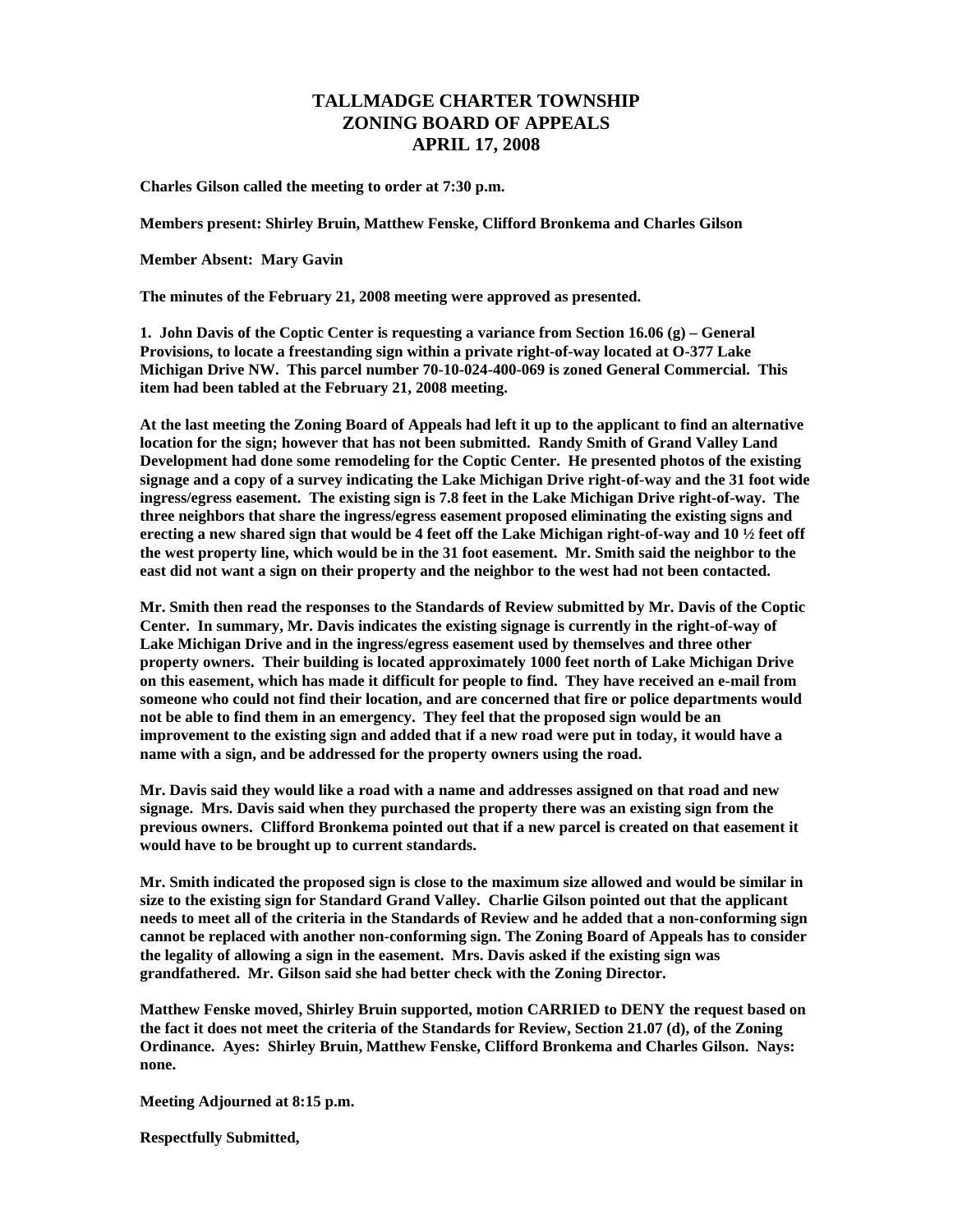## **TALLMADGE CHARTER TOWNSHIP ZONING BOARD OF APPEALS APRIL 17, 2008**

**Charles Gilson called the meeting to order at 7:30 p.m.** 

**Members present: Shirley Bruin, Matthew Fenske, Clifford Bronkema and Charles Gilson** 

**Member Absent: Mary Gavin** 

**The minutes of the February 21, 2008 meeting were approved as presented.** 

**1. John Davis of the Coptic Center is requesting a variance from Section 16.06 (g) – General Provisions, to locate a freestanding sign within a private right-of-way located at O-377 Lake Michigan Drive NW. This parcel number 70-10-024-400-069 is zoned General Commercial. This item had been tabled at the February 21, 2008 meeting.** 

**At the last meeting the Zoning Board of Appeals had left it up to the applicant to find an alternative location for the sign; however that has not been submitted. Randy Smith of Grand Valley Land Development had done some remodeling for the Coptic Center. He presented photos of the existing signage and a copy of a survey indicating the Lake Michigan Drive right-of-way and the 31 foot wide ingress/egress easement. The existing sign is 7.8 feet in the Lake Michigan Drive right-of-way. The three neighbors that share the ingress/egress easement proposed eliminating the existing signs and erecting a new shared sign that would be 4 feet off the Lake Michigan right-of-way and 10 ½ feet off the west property line, which would be in the 31 foot easement. Mr. Smith said the neighbor to the east did not want a sign on their property and the neighbor to the west had not been contacted.** 

**Mr. Smith then read the responses to the Standards of Review submitted by Mr. Davis of the Coptic Center. In summary, Mr. Davis indicates the existing signage is currently in the right-of-way of Lake Michigan Drive and in the ingress/egress easement used by themselves and three other property owners. Their building is located approximately 1000 feet north of Lake Michigan Drive on this easement, which has made it difficult for people to find. They have received an e-mail from someone who could not find their location, and are concerned that fire or police departments would not be able to find them in an emergency. They feel that the proposed sign would be an improvement to the existing sign and added that if a new road were put in today, it would have a name with a sign, and be addressed for the property owners using the road.** 

**Mr. Davis said they would like a road with a name and addresses assigned on that road and new signage. Mrs. Davis said when they purchased the property there was an existing sign from the previous owners. Clifford Bronkema pointed out that if a new parcel is created on that easement it would have to be brought up to current standards.** 

**Mr. Smith indicated the proposed sign is close to the maximum size allowed and would be similar in size to the existing sign for Standard Grand Valley. Charlie Gilson pointed out that the applicant needs to meet all of the criteria in the Standards of Review and he added that a non-conforming sign cannot be replaced with another non-conforming sign. The Zoning Board of Appeals has to consider the legality of allowing a sign in the easement. Mrs. Davis asked if the existing sign was grandfathered. Mr. Gilson said she had better check with the Zoning Director.** 

**Matthew Fenske moved, Shirley Bruin supported, motion CARRIED to DENY the request based on the fact it does not meet the criteria of the Standards for Review, Section 21.07 (d), of the Zoning Ordinance. Ayes: Shirley Bruin, Matthew Fenske, Clifford Bronkema and Charles Gilson. Nays: none.** 

**Meeting Adjourned at 8:15 p.m.** 

**Respectfully Submitted,**